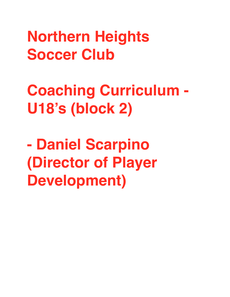**Northern Heights Soccer Club** 

**Coaching Curriculum - U18's (block 2)**

**- Daniel Scarpino (Director of Player Development)**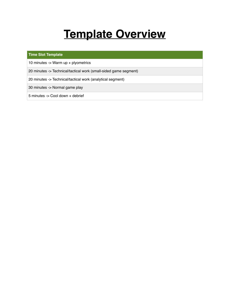## **Template Overview**

## **Time Slot Template**

10 minutes -> Warm up + plyometrics

20 minutes -> Technical/tactical work (small-sided game segment)

20 minutes -> Technical/tactical work (analytical segment)

30 minutes -> Normal game play

5 minutes -> Cool down + debrief